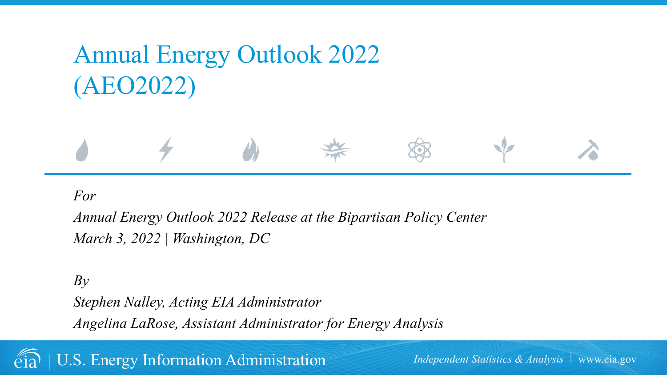# Annual Energy Outlook 2022 (AEO2022)



*Annual Energy Outlook 2022 Release at the Bipartisan Policy Center March 3, 2022 | Washington, DC*

*By Stephen Nalley, Acting EIA Administrator Angelina LaRose, Assistant Administrator for Energy Analysis*

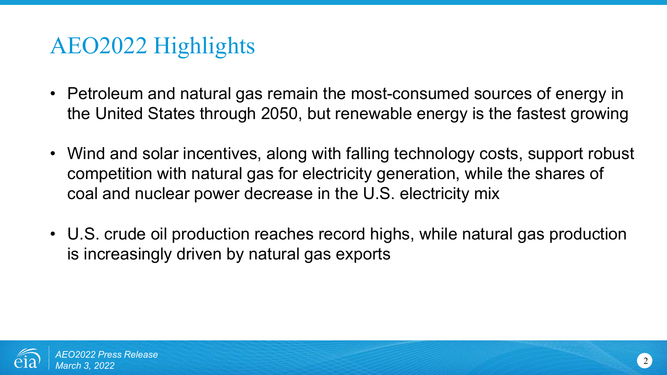- Petroleum and natural gas remain the most-consumed sources of energy in the United States through 2050, but renewable energy is the fastest growing
- Wind and solar incentives, along with falling technology costs, support robust competition with natural gas for electricity generation, while the shares of coal and nuclear power decrease in the U.S. electricity mix
- U.S. crude oil production reaches record highs, while natural gas production is increasingly driven by natural gas exports

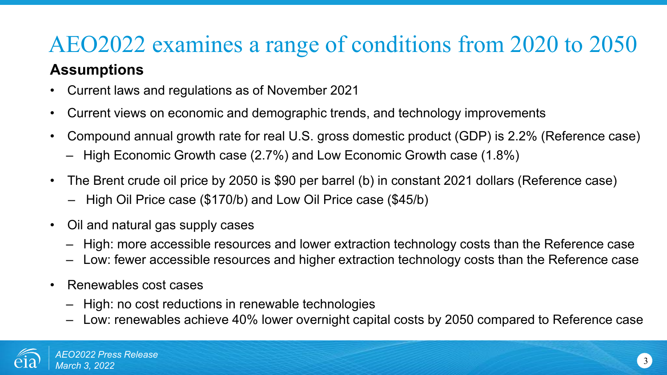### AEO2022 examines a range of conditions from 2020 to 2050 **Assumptions**

- Current laws and regulations as of November 2021
- Current views on economic and demographic trends, and technology improvements
- Compound annual growth rate for real U.S. gross domestic product (GDP) is 2.2% (Reference case)
	- High Economic Growth case (2.7%) and Low Economic Growth case (1.8%)
- The Brent crude oil price by 2050 is \$90 per barrel (b) in constant 2021 dollars (Reference case)
	- High Oil Price case (\$170/b) and Low Oil Price case (\$45/b)
- Oil and natural gas supply cases
	- High: more accessible resources and lower extraction technology costs than the Reference case
	- Low: fewer accessible resources and higher extraction technology costs than the Reference case
- Renewables cost cases
	- High: no cost reductions in renewable technologies
	- Low: renewables achieve 40% lower overnight capital costs by 2050 compared to Reference case

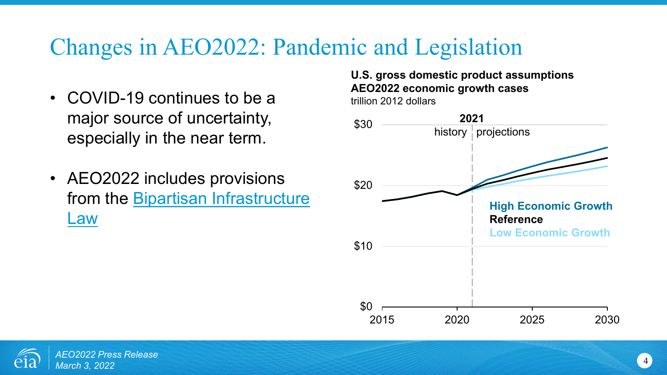# Changes in AEO2022: Pandemic and Legislation

- COVID-19 continues to be a major source of uncertainty, especially in the near term.
- AEO2022 includes provisions from the **Bipartisan Infrastructure** Law

#### **U.S. gross domestic product assumptions AEO2022 economic growth cases** trillion 2012 dollars



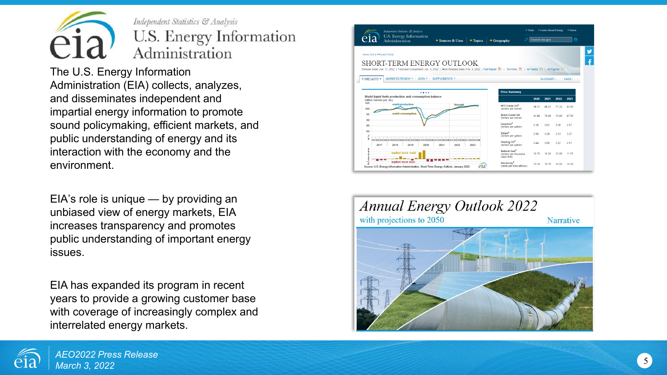

Independent Statistics & Analysis U.S. Energy Information Administration

The U.S. Energy Information Administration (EIA) collects, analyzes, and disseminates independent and impartial energy information to promote sound policymaking, efficient markets, and public understanding of energy and its interaction with the economy and the environment.

EIA's role is unique — by providing an unbiased view of energy markets, EIA increases transparency and promotes public understanding of important energy issues.

EIA has expanded its program in recent years to provide a growing customer base with coverage of increasingly complex and interrelated energy markets.





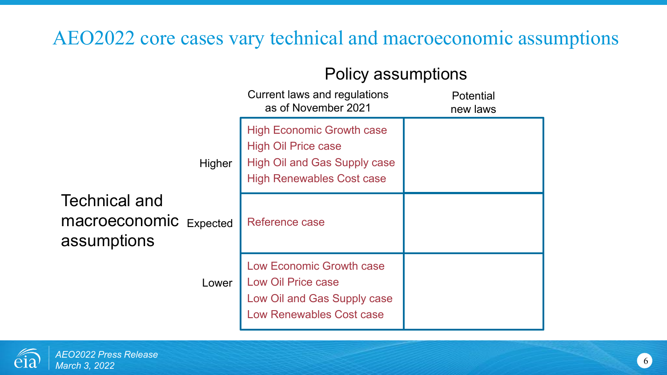### AEO2022 core cases vary technical and macroeconomic assumptions

### Policy assumptions

|                                                                      | Current laws and regulations<br>as of November 2021                                                                                       | Potential<br>new laws |
|----------------------------------------------------------------------|-------------------------------------------------------------------------------------------------------------------------------------------|-----------------------|
| Higher                                                               | <b>High Economic Growth case</b><br><b>High Oil Price case</b><br><b>High Oil and Gas Supply case</b><br><b>High Renewables Cost case</b> |                       |
| <b>Technical and</b><br><b>macroeconomic</b> Expected<br>assumptions | Reference case                                                                                                                            |                       |
| Lower                                                                | Low Economic Growth case<br><b>Low Oil Price case</b><br>Low Oil and Gas Supply case<br>Low Renewables Cost case                          |                       |

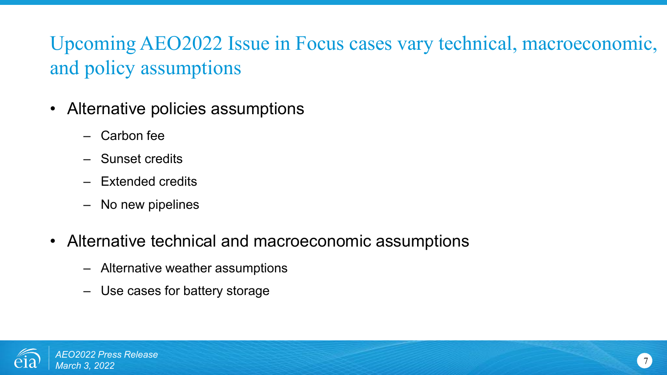# Upcoming AEO2022 Issue in Focus cases vary technical, macroeconomic, and policy assumptions

- Alternative policies assumptions
	- Carbon fee
	- Sunset credits
	- Extended credits
	- No new pipelines
- Alternative technical and macroeconomic assumptions
	- Alternative weather assumptions
	- Use cases for battery storage

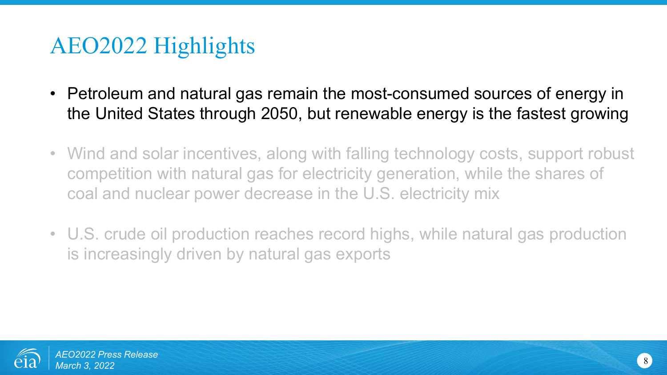- Petroleum and natural gas remain the most-consumed sources of energy in the United States through 2050, but renewable energy is the fastest growing
- Wind and solar incentives, along with falling technology costs, support robust competition with natural gas for electricity generation, while the shares of coal and nuclear power decrease in the U.S. electricity mix
- U.S. crude oil production reaches record highs, while natural gas production is increasingly driven by natural gas exports

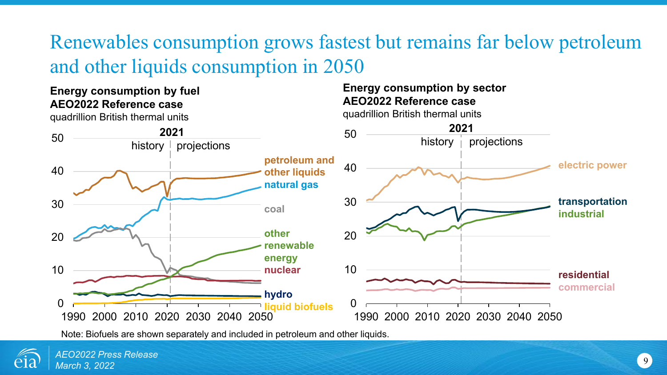# Renewables consumption grows fastest but remains far below petroleum and other liquids consumption in 2050

### **Energy consumption by fuel AEO2022 Reference case**

**2021** history  $\vdash$  projections **petroleum and other liquids natural gas coal other renewable energy nuclear hydro liquid biofuels** 0 10 20 30 40 50 **2021** history  $|$  projections

quadrillion British thermal units

### **Energy consumption by sector AEO2022 Reference case**

1990 2000 2010 2020 2030 2040 2050

quadrillion British thermal units

Note: Biofuels are shown separately and included in petroleum and other liquids.



 $\Omega$ 

10

20

30

40

50

1990 2000 2010 2020 2030 2040 2050

**electric power**

**transportation industrial**

**residential commercial**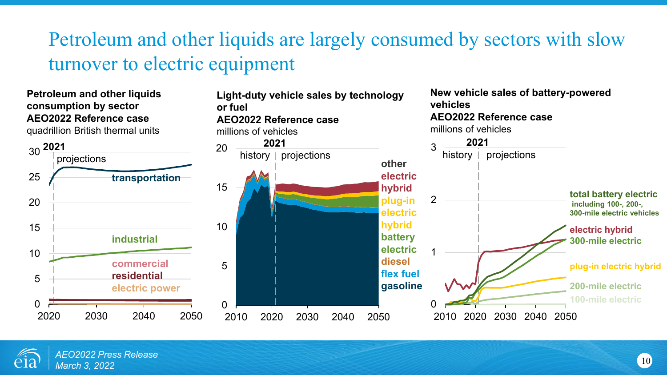### Petroleum and other liquids are largely consumed by sectors with slow turnover to electric equipment



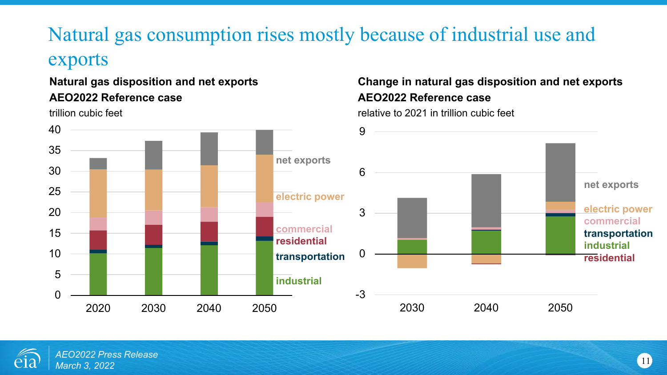# Natural gas consumption rises mostly because of industrial use and

### exports

### **Natural gas disposition and net exports AEO2022 Reference case**

trillion cubic feet

### **Change in natural gas disposition and net exports AEO2022 Reference case**

relative to 2021 in trillion cubic feet



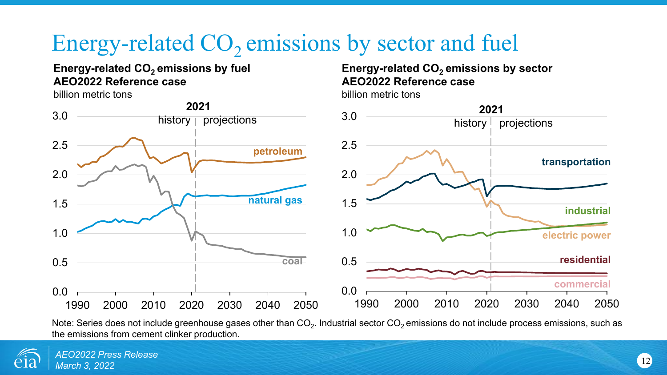# Energy-related  $CO<sub>2</sub>$  emissions by sector and fuel

#### **Energy-related CO<sub>2</sub> emissions by fuel AEO2022 Reference case**

billion metric tons

#### **Energy-related CO<sub>2</sub> emissions by sector AEO2022 Reference case**

billion metric tons



Note: Series does not include greenhouse gases other than  $CO<sub>2</sub>$ . Industrial sector  $CO<sub>2</sub>$  emissions do not include process emissions, such as the emissions from cement clinker production.

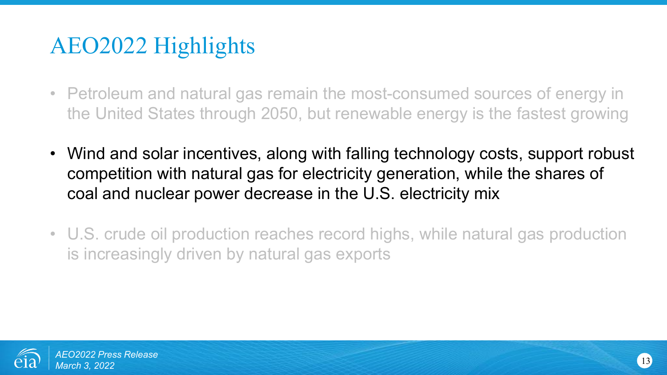- Petroleum and natural gas remain the most-consumed sources of energy in the United States through 2050, but renewable energy is the fastest growing
- Wind and solar incentives, along with falling technology costs, support robust competition with natural gas for electricity generation, while the shares of coal and nuclear power decrease in the U.S. electricity mix
- U.S. crude oil production reaches record highs, while natural gas production is increasingly driven by natural gas exports

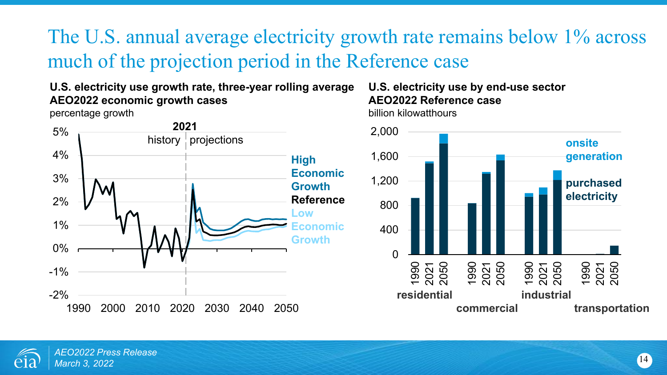### The U.S. annual average electricity growth rate remains below 1% across much of the projection period in the Reference case

### **U.S. electricity use growth rate, three-year rolling average AEO2022 economic growth cases**

percentage growth



#### **U.S. electricity use by end-use sector AEO2022 Reference case**  billion kilowatthours



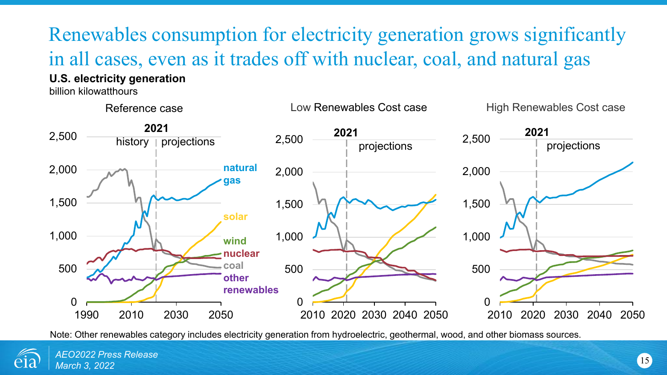# Renewables consumption for electricity generation grows significantly in all cases, even as it trades off with nuclear, coal, and natural gas

### **U.S. electricity generation**

billion kilowatthours



Note: Other renewables category includes electricity generation from hydroelectric, geothermal, wood, and other biomass sources.

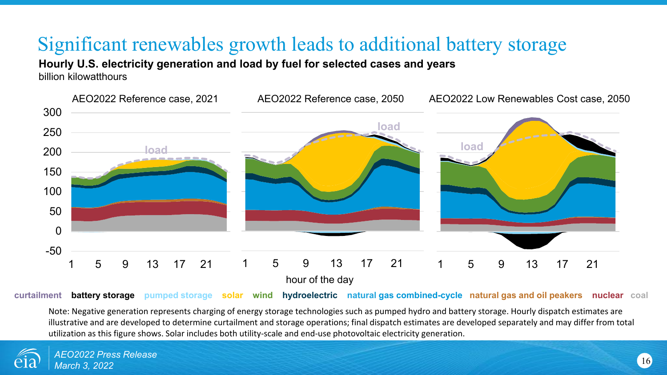### Significant renewables growth leads to additional battery storage

**Hourly U.S. electricity generation and load by fuel for selected cases and years**

billion kilowatthours



**curtailment battery storage pumped storage solar wind hydroelectric natural gas combined-cycle natural gas and oil peakers nuclear coal**

Note: Negative generation represents charging of energy storage technologies such as pumped hydro and battery storage. Hourly dispatch estimates are illustrative and are developed to determine curtailment and storage operations; final dispatch estimates are developed separately and may differ from total utilization as this figure shows. Solar includes both utility-scale and end-use photovoltaic electricity generation.

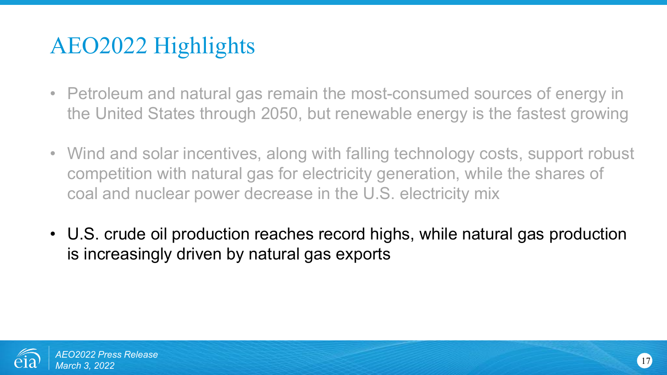- Petroleum and natural gas remain the most-consumed sources of energy in the United States through 2050, but renewable energy is the fastest growing
- Wind and solar incentives, along with falling technology costs, support robust competition with natural gas for electricity generation, while the shares of coal and nuclear power decrease in the U.S. electricity mix
- U.S. crude oil production reaches record highs, while natural gas production is increasingly driven by natural gas exports

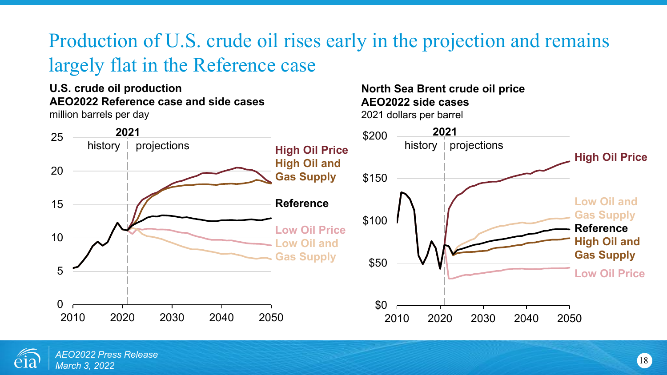# Production of U.S. crude oil rises early in the projection and remains largely flat in the Reference case

#### **U.S. crude oil production AEO2022 Reference case and side cases** million barrels per day

**North Sea Brent crude oil price AEO2022 side cases** 2021 dollars per barrel



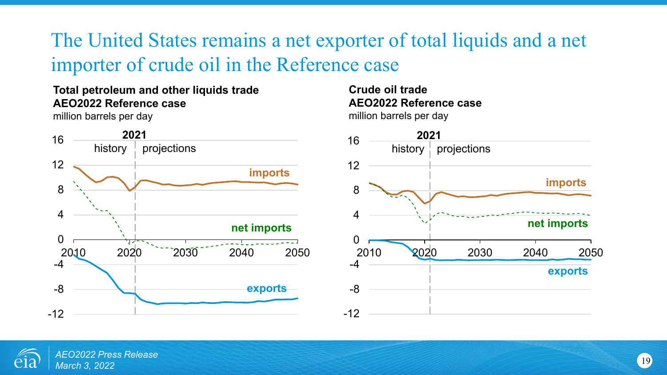### The United States remains a net exporter of total liquids and a net importer of crude oil in the Reference case

### **Total petroleum and other liquids trade AEO2022 Reference case**

million barrels per day



#### **Crude oil trade AEO2022 Reference case** million barrels per day



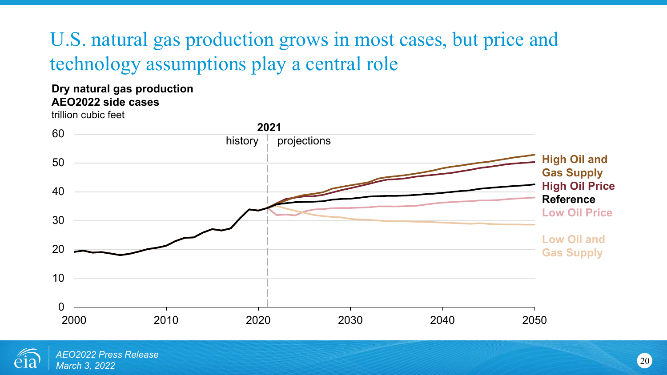## U.S. natural gas production grows in most cases, but price and technology assumptions play a central role

#### **Dry natural gas production AEO2022 side cases**

trillion cubic feet



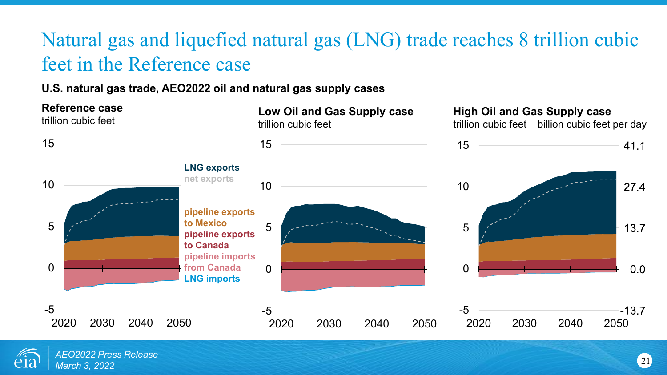## Natural gas and liquefied natural gas (LNG) trade reaches 8 trillion cubic feet in the Reference case

#### **U.S. natural gas trade, AEO2022 oil and natural gas supply cases**



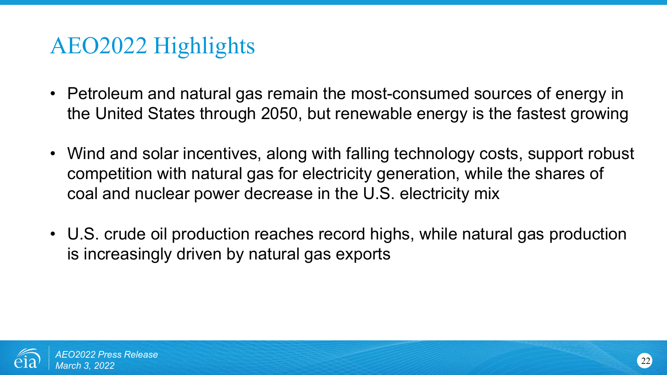- Petroleum and natural gas remain the most-consumed sources of energy in the United States through 2050, but renewable energy is the fastest growing
- Wind and solar incentives, along with falling technology costs, support robust competition with natural gas for electricity generation, while the shares of coal and nuclear power decrease in the U.S. electricity mix
- U.S. crude oil production reaches record highs, while natural gas production is increasingly driven by natural gas exports